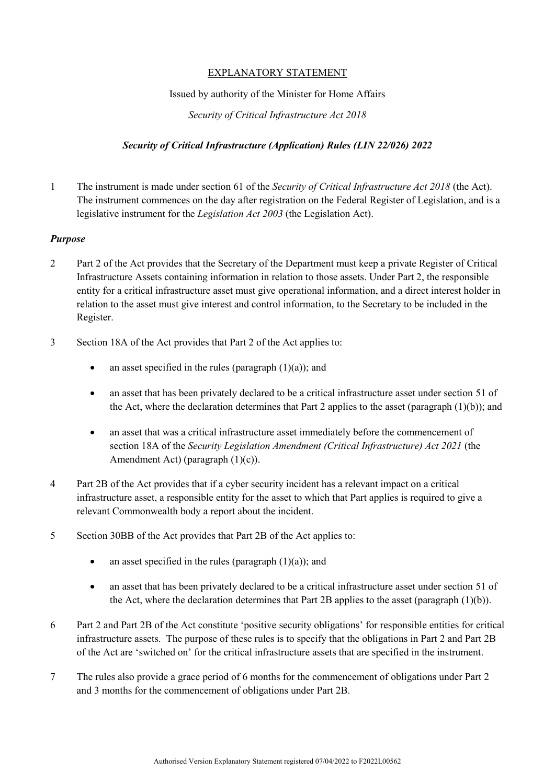## EXPLANATORY STATEMENT

### Issued by authority of the Minister for Home Affairs

*Security of Critical Infrastructure Act 2018*

# *Security of Critical Infrastructure (Application) Rules (LIN 22/026) 2022*

1 The instrument is made under section 61 of the *Security of Critical Infrastructure Act 2018* (the Act). The instrument commences on the day after registration on the Federal Register of Legislation, and is a legislative instrument for the *Legislation Act 2003* (the Legislation Act).

## *Purpose*

- 2 Part 2 of the Act provides that the Secretary of the Department must keep a private Register of Critical Infrastructure Assets containing information in relation to those assets. Under Part 2, the responsible entity for a critical infrastructure asset must give operational information, and a direct interest holder in relation to the asset must give interest and control information, to the Secretary to be included in the Register.
- 3 Section 18A of the Act provides that Part 2 of the Act applies to:
	- an asset specified in the rules (paragraph  $(1)(a)$ ); and
	- an asset that has been privately declared to be a critical infrastructure asset under section 51 of the Act, where the declaration determines that Part 2 applies to the asset (paragraph (1)(b)); and
	- an asset that was a critical infrastructure asset immediately before the commencement of section 18A of the *Security Legislation Amendment (Critical Infrastructure) Act 2021* (the Amendment Act) (paragraph  $(1)(c)$ ).
- 4 Part 2B of the Act provides that if a cyber security incident has a relevant impact on a critical infrastructure asset, a responsible entity for the asset to which that Part applies is required to give a relevant Commonwealth body a report about the incident.
- 5 Section 30BB of the Act provides that Part 2B of the Act applies to:
	- an asset specified in the rules (paragraph  $(1)(a)$ ); and
	- an asset that has been privately declared to be a critical infrastructure asset under section 51 of the Act, where the declaration determines that Part 2B applies to the asset (paragraph (1)(b)).
- 6 Part 2 and Part 2B of the Act constitute 'positive security obligations' for responsible entities for critical infrastructure assets. The purpose of these rules is to specify that the obligations in Part 2 and Part 2B of the Act are 'switched on' for the critical infrastructure assets that are specified in the instrument.
- 7 The rules also provide a grace period of 6 months for the commencement of obligations under Part 2 and 3 months for the commencement of obligations under Part 2B.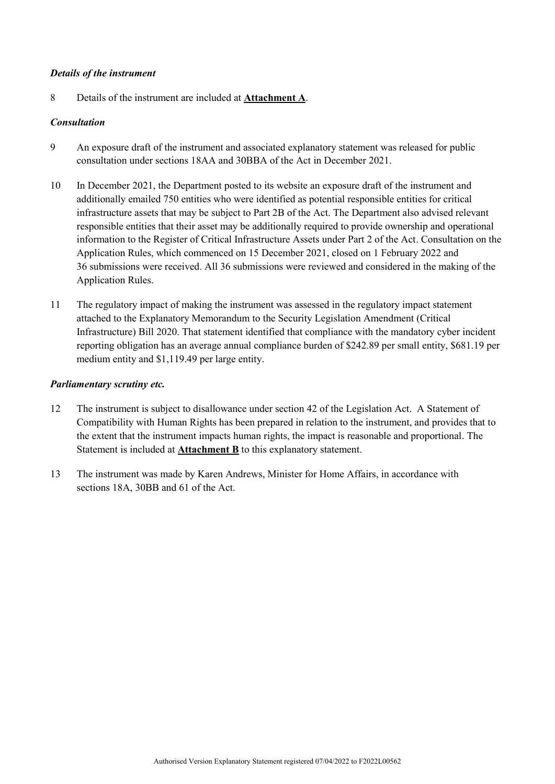#### *Details of the instrument*

8 Details of the instrument are included at **Attachment A**.

#### *Consultation*

- 9 An exposure draft of the instrument and associated explanatory statement was released for public consultation under sections 18AA and 30BBA of the Act in December 2021.
- 10 In December 2021, the Department posted to its website an exposure draft of the instrument and additionally emailed 750 entities who were identified as potential responsible entities for critical infrastructure assets that may be subject to Part 2B of the Act. The Department also advised relevant responsible entities that their asset may be additionally required to provide ownership and operational information to the Register of Critical Infrastructure Assets under Part 2 of the Act. Consultation on the Application Rules, which commenced on 15 December 2021, closed on 1 February 2022 and 36 submissions were received. All 36 submissions were reviewed and considered in the making of the Application Rules.
- 11 The regulatory impact of making the instrument was assessed in the regulatory impact statement attached to the Explanatory Memorandum to the Security Legislation Amendment (Critical Infrastructure) Bill 2020. That statement identified that compliance with the mandatory cyber incident reporting obligation has an average annual compliance burden of \$242.89 per small entity, \$681.19 per medium entity and \$1,119.49 per large entity.

#### *Parliamentary scrutiny etc.*

- 12 The instrument is subject to disallowance under section 42 of the Legislation Act. A Statement of Compatibility with Human Rights has been prepared in relation to the instrument, and provides that to the extent that the instrument impacts human rights, the impact is reasonable and proportional. The Statement is included at **Attachment B** to this explanatory statement.
- 13 The instrument was made by Karen Andrews, Minister for Home Affairs, in accordance with sections 18A, 30BB and 61 of the Act.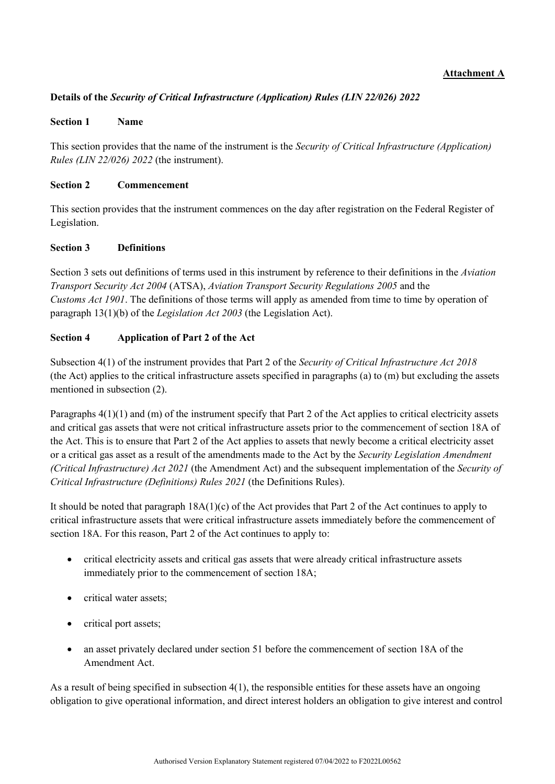## **Attachment A**

# **Details of the** *Security of Critical Infrastructure (Application) Rules (LIN 22/026) 2022*

### **Section 1 Name**

This section provides that the name of the instrument is the *Security of Critical Infrastructure (Application) Rules (LIN 22/026) 2022* (the instrument).

### **Section 2 Commencement**

This section provides that the instrument commences on the day after registration on the Federal Register of Legislation.

## **Section 3 Definitions**

Section 3 sets out definitions of terms used in this instrument by reference to their definitions in the *Aviation Transport Security Act 2004* (ATSA), *Aviation Transport Security Regulations 2005* and the *Customs Act 1901*. The definitions of those terms will apply as amended from time to time by operation of paragraph 13(1)(b) of the *Legislation Act 2003* (the Legislation Act).

## **Section 4 Application of Part 2 of the Act**

Subsection 4(1) of the instrument provides that Part 2 of the *Security of Critical Infrastructure Act 2018* (the Act) applies to the critical infrastructure assets specified in paragraphs (a) to (m) but excluding the assets mentioned in subsection (2).

Paragraphs 4(1)(1) and (m) of the instrument specify that Part 2 of the Act applies to critical electricity assets and critical gas assets that were not critical infrastructure assets prior to the commencement of section 18A of the Act. This is to ensure that Part 2 of the Act applies to assets that newly become a critical electricity asset or a critical gas asset as a result of the amendments made to the Act by the *Security Legislation Amendment (Critical Infrastructure) Act 2021* (the Amendment Act) and the subsequent implementation of the *Security of Critical Infrastructure (Definitions) Rules 2021* (the Definitions Rules).

It should be noted that paragraph  $18A(1)(c)$  of the Act provides that Part 2 of the Act continues to apply to critical infrastructure assets that were critical infrastructure assets immediately before the commencement of section 18A. For this reason, Part 2 of the Act continues to apply to:

- critical electricity assets and critical gas assets that were already critical infrastructure assets immediately prior to the commencement of section 18A;
- critical water assets:
- critical port assets;
- an asset privately declared under section 51 before the commencement of section 18A of the Amendment Act.

As a result of being specified in subsection  $4(1)$ , the responsible entities for these assets have an ongoing obligation to give operational information, and direct interest holders an obligation to give interest and control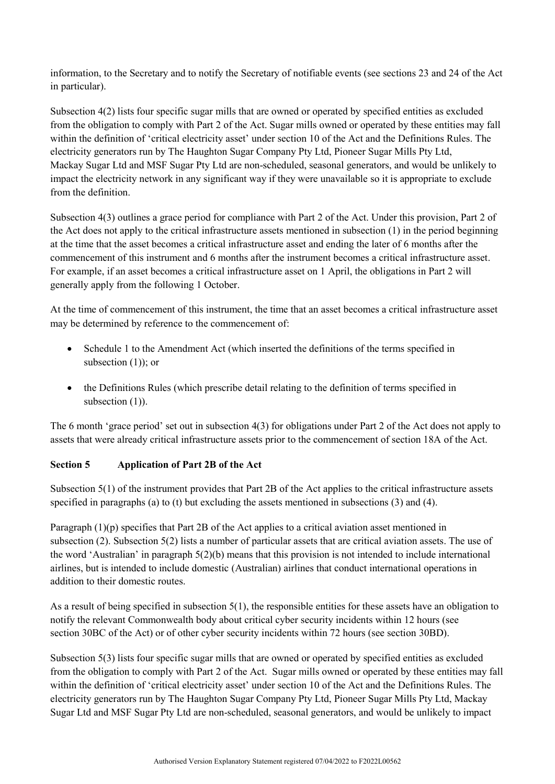information, to the Secretary and to notify the Secretary of notifiable events (see sections 23 and 24 of the Act in particular).

Subsection 4(2) lists four specific sugar mills that are owned or operated by specified entities as excluded from the obligation to comply with Part 2 of the Act. Sugar mills owned or operated by these entities may fall within the definition of 'critical electricity asset' under section 10 of the Act and the Definitions Rules. The electricity generators run by The Haughton Sugar Company Pty Ltd, Pioneer Sugar Mills Pty Ltd, Mackay Sugar Ltd and MSF Sugar Pty Ltd are non-scheduled, seasonal generators, and would be unlikely to impact the electricity network in any significant way if they were unavailable so it is appropriate to exclude from the definition.

Subsection 4(3) outlines a grace period for compliance with Part 2 of the Act. Under this provision, Part 2 of the Act does not apply to the critical infrastructure assets mentioned in subsection (1) in the period beginning at the time that the asset becomes a critical infrastructure asset and ending the later of 6 months after the commencement of this instrument and 6 months after the instrument becomes a critical infrastructure asset. For example, if an asset becomes a critical infrastructure asset on 1 April, the obligations in Part 2 will generally apply from the following 1 October.

At the time of commencement of this instrument, the time that an asset becomes a critical infrastructure asset may be determined by reference to the commencement of:

- Schedule 1 to the Amendment Act (which inserted the definitions of the terms specified in subsection  $(1)$ ; or
- the Definitions Rules (which prescribe detail relating to the definition of terms specified in subsection (1)).

The 6 month 'grace period' set out in subsection 4(3) for obligations under Part 2 of the Act does not apply to assets that were already critical infrastructure assets prior to the commencement of section 18A of the Act.

# **Section 5 Application of Part 2B of the Act**

Subsection 5(1) of the instrument provides that Part 2B of the Act applies to the critical infrastructure assets specified in paragraphs (a) to (t) but excluding the assets mentioned in subsections (3) and (4).

Paragraph (1)(p) specifies that Part 2B of the Act applies to a critical aviation asset mentioned in subsection (2). Subsection 5(2) lists a number of particular assets that are critical aviation assets. The use of the word 'Australian' in paragraph 5(2)(b) means that this provision is not intended to include international airlines, but is intended to include domestic (Australian) airlines that conduct international operations in addition to their domestic routes.

As a result of being specified in subsection 5(1), the responsible entities for these assets have an obligation to notify the relevant Commonwealth body about critical cyber security incidents within 12 hours (see section 30BC of the Act) or of other cyber security incidents within 72 hours (see section 30BD).

Subsection 5(3) lists four specific sugar mills that are owned or operated by specified entities as excluded from the obligation to comply with Part 2 of the Act. Sugar mills owned or operated by these entities may fall within the definition of 'critical electricity asset' under section 10 of the Act and the Definitions Rules. The electricity generators run by The Haughton Sugar Company Pty Ltd, Pioneer Sugar Mills Pty Ltd, Mackay Sugar Ltd and MSF Sugar Pty Ltd are non-scheduled, seasonal generators, and would be unlikely to impact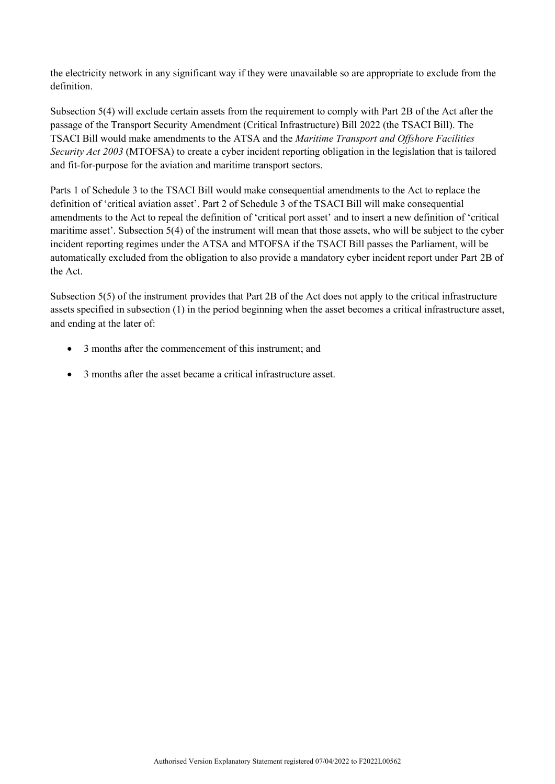the electricity network in any significant way if they were unavailable so are appropriate to exclude from the definition.

Subsection 5(4) will exclude certain assets from the requirement to comply with Part 2B of the Act after the passage of the Transport Security Amendment (Critical Infrastructure) Bill 2022 (the TSACI Bill). The TSACI Bill would make amendments to the ATSA and the *Maritime Transport and Offshore Facilities Security Act 2003* (MTOFSA) to create a cyber incident reporting obligation in the legislation that is tailored and fit-for-purpose for the aviation and maritime transport sectors.

Parts 1 of Schedule 3 to the TSACI Bill would make consequential amendments to the Act to replace the definition of 'critical aviation asset'. Part 2 of Schedule 3 of the TSACI Bill will make consequential amendments to the Act to repeal the definition of 'critical port asset' and to insert a new definition of 'critical maritime asset'. Subsection 5(4) of the instrument will mean that those assets, who will be subject to the cyber incident reporting regimes under the ATSA and MTOFSA if the TSACI Bill passes the Parliament, will be automatically excluded from the obligation to also provide a mandatory cyber incident report under Part 2B of the Act.

Subsection 5(5) of the instrument provides that Part 2B of the Act does not apply to the critical infrastructure assets specified in subsection (1) in the period beginning when the asset becomes a critical infrastructure asset, and ending at the later of:

- 3 months after the commencement of this instrument; and
- 3 months after the asset became a critical infrastructure asset.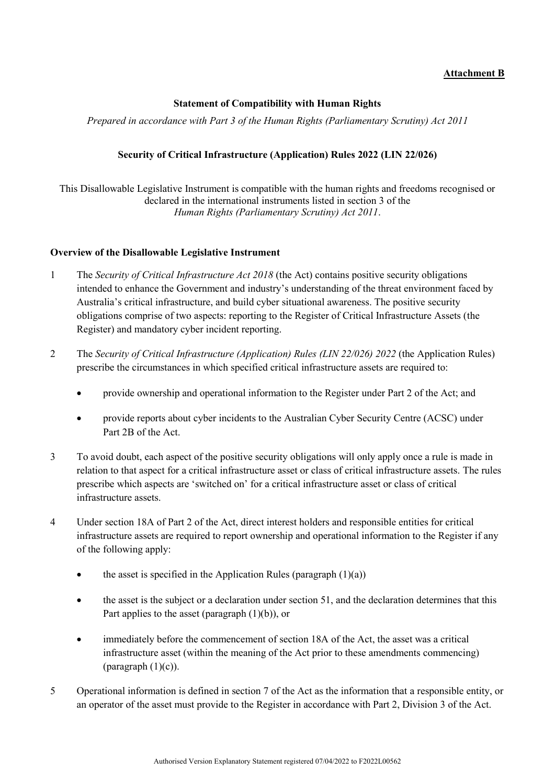## **Attachment B**

### **Statement of Compatibility with Human Rights**

*Prepared in accordance with Part 3 of the Human Rights (Parliamentary Scrutiny) Act 2011*

#### **Security of Critical Infrastructure (Application) Rules 2022 (LIN 22/026)**

This Disallowable Legislative Instrument is compatible with the human rights and freedoms recognised or declared in the international instruments listed in section 3 of the *Human Rights (Parliamentary Scrutiny) Act 2011*.

#### **Overview of the Disallowable Legislative Instrument**

- 1 The *Security of Critical Infrastructure Act 2018* (the Act) contains positive security obligations intended to enhance the Government and industry's understanding of the threat environment faced by Australia's critical infrastructure, and build cyber situational awareness. The positive security obligations comprise of two aspects: reporting to the Register of Critical Infrastructure Assets (the Register) and mandatory cyber incident reporting.
- 2 The *Security of Critical Infrastructure (Application) Rules (LIN 22/026) 2022* (the Application Rules) prescribe the circumstances in which specified critical infrastructure assets are required to:
	- provide ownership and operational information to the Register under Part 2 of the Act; and
	- provide reports about cyber incidents to the Australian Cyber Security Centre (ACSC) under Part 2B of the Act.
- 3 To avoid doubt, each aspect of the positive security obligations will only apply once a rule is made in relation to that aspect for a critical infrastructure asset or class of critical infrastructure assets. The rules prescribe which aspects are 'switched on' for a critical infrastructure asset or class of critical infrastructure assets.
- 4 Under section 18A of Part 2 of the Act, direct interest holders and responsible entities for critical infrastructure assets are required to report ownership and operational information to the Register if any of the following apply:
	- the asset is specified in the Application Rules (paragraph  $(1)(a)$ )
	- the asset is the subject or a declaration under section 51, and the declaration determines that this Part applies to the asset (paragraph  $(1)(b)$ ), or
	- immediately before the commencement of section 18A of the Act, the asset was a critical infrastructure asset (within the meaning of the Act prior to these amendments commencing) (paragraph (1)(c)).
- 5 Operational information is defined in section 7 of the Act as the information that a responsible entity, or an operator of the asset must provide to the Register in accordance with Part 2, Division 3 of the Act.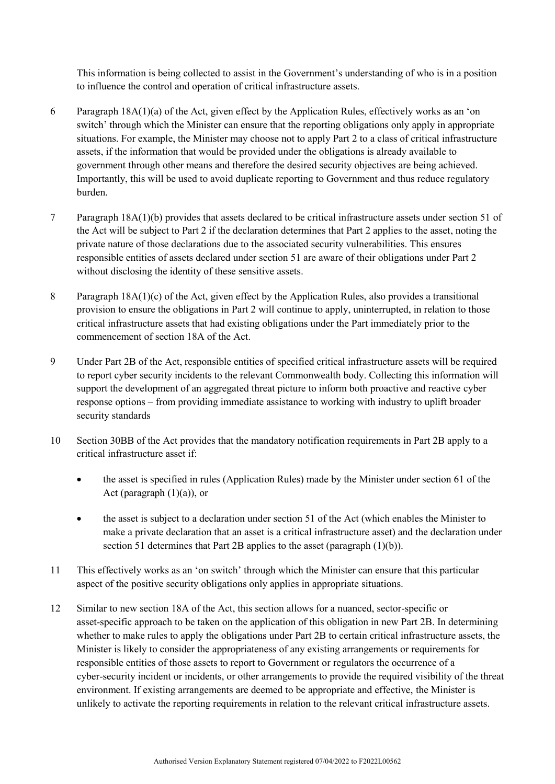This information is being collected to assist in the Government's understanding of who is in a position to influence the control and operation of critical infrastructure assets.

- 6 Paragraph 18A(1)(a) of the Act, given effect by the Application Rules, effectively works as an 'on switch' through which the Minister can ensure that the reporting obligations only apply in appropriate situations. For example, the Minister may choose not to apply Part 2 to a class of critical infrastructure assets, if the information that would be provided under the obligations is already available to government through other means and therefore the desired security objectives are being achieved. Importantly, this will be used to avoid duplicate reporting to Government and thus reduce regulatory burden.
- 7 Paragraph 18A(1)(b) provides that assets declared to be critical infrastructure assets under section 51 of the Act will be subject to Part 2 if the declaration determines that Part 2 applies to the asset, noting the private nature of those declarations due to the associated security vulnerabilities. This ensures responsible entities of assets declared under section 51 are aware of their obligations under Part 2 without disclosing the identity of these sensitive assets.
- 8 Paragraph 18A(1)(c) of the Act, given effect by the Application Rules, also provides a transitional provision to ensure the obligations in Part 2 will continue to apply, uninterrupted, in relation to those critical infrastructure assets that had existing obligations under the Part immediately prior to the commencement of section 18A of the Act.
- 9 Under Part 2B of the Act, responsible entities of specified critical infrastructure assets will be required to report cyber security incidents to the relevant Commonwealth body. Collecting this information will support the development of an aggregated threat picture to inform both proactive and reactive cyber response options – from providing immediate assistance to working with industry to uplift broader security standards
- 10 Section 30BB of the Act provides that the mandatory notification requirements in Part 2B apply to a critical infrastructure asset if:
	- the asset is specified in rules (Application Rules) made by the Minister under section 61 of the Act (paragraph  $(1)(a)$ ), or
	- the asset is subject to a declaration under section 51 of the Act (which enables the Minister to make a private declaration that an asset is a critical infrastructure asset) and the declaration under section 51 determines that Part 2B applies to the asset (paragraph (1)(b)).
- 11 This effectively works as an 'on switch' through which the Minister can ensure that this particular aspect of the positive security obligations only applies in appropriate situations.
- 12 Similar to new section 18A of the Act, this section allows for a nuanced, sector-specific or asset-specific approach to be taken on the application of this obligation in new Part 2B. In determining whether to make rules to apply the obligations under Part 2B to certain critical infrastructure assets, the Minister is likely to consider the appropriateness of any existing arrangements or requirements for responsible entities of those assets to report to Government or regulators the occurrence of a cyber-security incident or incidents, or other arrangements to provide the required visibility of the threat environment. If existing arrangements are deemed to be appropriate and effective, the Minister is unlikely to activate the reporting requirements in relation to the relevant critical infrastructure assets.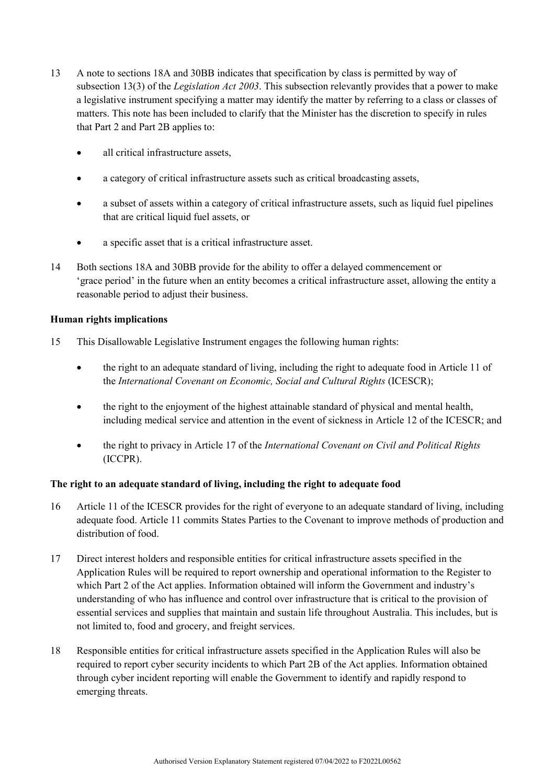- 13 A note to sections 18A and 30BB indicates that specification by class is permitted by way of subsection 13(3) of the *Legislation Act 2003*. This subsection relevantly provides that a power to make a legislative instrument specifying a matter may identify the matter by referring to a class or classes of matters. This note has been included to clarify that the Minister has the discretion to specify in rules that Part 2 and Part 2B applies to:
	- all critical infrastructure assets,
	- a category of critical infrastructure assets such as critical broadcasting assets,
	- a subset of assets within a category of critical infrastructure assets, such as liquid fuel pipelines that are critical liquid fuel assets, or
	- a specific asset that is a critical infrastructure asset.
- 14 Both sections 18A and 30BB provide for the ability to offer a delayed commencement or 'grace period' in the future when an entity becomes a critical infrastructure asset, allowing the entity a reasonable period to adjust their business.

## **Human rights implications**

- 15 This Disallowable Legislative Instrument engages the following human rights:
	- the right to an adequate standard of living, including the right to adequate food in Article 11 of the *International Covenant on Economic, Social and Cultural Rights* (ICESCR);
	- the right to the enjoyment of the highest attainable standard of physical and mental health, including medical service and attention in the event of sickness in Article 12 of the ICESCR; and
	- the right to privacy in Article 17 of the *International Covenant on Civil and Political Rights* (ICCPR).

## **The right to an adequate standard of living, including the right to adequate food**

- 16 Article 11 of the ICESCR provides for the right of everyone to an adequate standard of living, including adequate food. Article 11 commits States Parties to the Covenant to improve methods of production and distribution of food.
- 17 Direct interest holders and responsible entities for critical infrastructure assets specified in the Application Rules will be required to report ownership and operational information to the Register to which Part 2 of the Act applies. Information obtained will inform the Government and industry's understanding of who has influence and control over infrastructure that is critical to the provision of essential services and supplies that maintain and sustain life throughout Australia. This includes, but is not limited to, food and grocery, and freight services.
- 18 Responsible entities for critical infrastructure assets specified in the Application Rules will also be required to report cyber security incidents to which Part 2B of the Act applies. Information obtained through cyber incident reporting will enable the Government to identify and rapidly respond to emerging threats.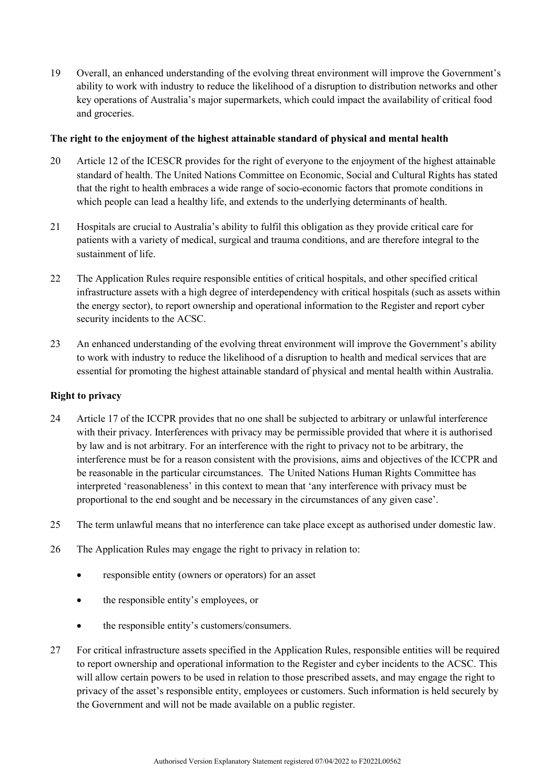19 Overall, an enhanced understanding of the evolving threat environment will improve the Government's ability to work with industry to reduce the likelihood of a disruption to distribution networks and other key operations of Australia's major supermarkets, which could impact the availability of critical food and groceries.

#### **The right to the enjoyment of the highest attainable standard of physical and mental health**

- 20 Article 12 of the ICESCR provides for the right of everyone to the enjoyment of the highest attainable standard of health. The United Nations Committee on Economic, Social and Cultural Rights has stated that the right to health embraces a wide range of socio-economic factors that promote conditions in which people can lead a healthy life, and extends to the underlying determinants of health.
- 21 Hospitals are crucial to Australia's ability to fulfil this obligation as they provide critical care for patients with a variety of medical, surgical and trauma conditions, and are therefore integral to the sustainment of life.
- 22 The Application Rules require responsible entities of critical hospitals, and other specified critical infrastructure assets with a high degree of interdependency with critical hospitals (such as assets within the energy sector), to report ownership and operational information to the Register and report cyber security incidents to the ACSC.
- 23 An enhanced understanding of the evolving threat environment will improve the Government's ability to work with industry to reduce the likelihood of a disruption to health and medical services that are essential for promoting the highest attainable standard of physical and mental health within Australia.

#### **Right to privacy**

- 24 Article 17 of the ICCPR provides that no one shall be subjected to arbitrary or unlawful interference with their privacy. Interferences with privacy may be permissible provided that where it is authorised by law and is not arbitrary. For an interference with the right to privacy not to be arbitrary, the interference must be for a reason consistent with the provisions, aims and objectives of the ICCPR and be reasonable in the particular circumstances. The United Nations Human Rights Committee has interpreted 'reasonableness' in this context to mean that 'any interference with privacy must be proportional to the end sought and be necessary in the circumstances of any given case'.
- 25 The term unlawful means that no interference can take place except as authorised under domestic law.
- 26 The Application Rules may engage the right to privacy in relation to:
	- responsible entity (owners or operators) for an asset
	- the responsible entity's employees, or
	- the responsible entity's customers/consumers.
- 27 For critical infrastructure assets specified in the Application Rules, responsible entities will be required to report ownership and operational information to the Register and cyber incidents to the ACSC. This will allow certain powers to be used in relation to those prescribed assets, and may engage the right to privacy of the asset's responsible entity, employees or customers. Such information is held securely by the Government and will not be made available on a public register.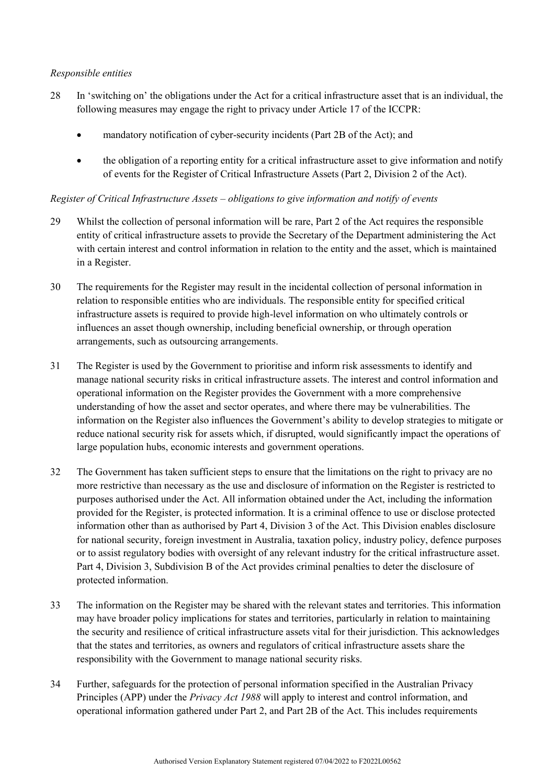#### *Responsible entities*

- 28 In 'switching on' the obligations under the Act for a critical infrastructure asset that is an individual, the following measures may engage the right to privacy under Article 17 of the ICCPR:
	- mandatory notification of cyber-security incidents (Part 2B of the Act); and
	- the obligation of a reporting entity for a critical infrastructure asset to give information and notify of events for the Register of Critical Infrastructure Assets (Part 2, Division 2 of the Act).

## *Register of Critical Infrastructure Assets – obligations to give information and notify of events*

- 29 Whilst the collection of personal information will be rare, Part 2 of the Act requires the responsible entity of critical infrastructure assets to provide the Secretary of the Department administering the Act with certain interest and control information in relation to the entity and the asset, which is maintained in a Register.
- 30 The requirements for the Register may result in the incidental collection of personal information in relation to responsible entities who are individuals. The responsible entity for specified critical infrastructure assets is required to provide high-level information on who ultimately controls or influences an asset though ownership, including beneficial ownership, or through operation arrangements, such as outsourcing arrangements.
- 31 The Register is used by the Government to prioritise and inform risk assessments to identify and manage national security risks in critical infrastructure assets. The interest and control information and operational information on the Register provides the Government with a more comprehensive understanding of how the asset and sector operates, and where there may be vulnerabilities. The information on the Register also influences the Government's ability to develop strategies to mitigate or reduce national security risk for assets which, if disrupted, would significantly impact the operations of large population hubs, economic interests and government operations.
- 32 The Government has taken sufficient steps to ensure that the limitations on the right to privacy are no more restrictive than necessary as the use and disclosure of information on the Register is restricted to purposes authorised under the Act. All information obtained under the Act, including the information provided for the Register, is protected information. It is a criminal offence to use or disclose protected information other than as authorised by Part 4, Division 3 of the Act. This Division enables disclosure for national security, foreign investment in Australia, taxation policy, industry policy, defence purposes or to assist regulatory bodies with oversight of any relevant industry for the critical infrastructure asset. Part 4, Division 3, Subdivision B of the Act provides criminal penalties to deter the disclosure of protected information.
- 33 The information on the Register may be shared with the relevant states and territories. This information may have broader policy implications for states and territories, particularly in relation to maintaining the security and resilience of critical infrastructure assets vital for their jurisdiction. This acknowledges that the states and territories, as owners and regulators of critical infrastructure assets share the responsibility with the Government to manage national security risks.
- 34 Further, safeguards for the protection of personal information specified in the Australian Privacy Principles (APP) under the *Privacy Act 1988* will apply to interest and control information, and operational information gathered under Part 2, and Part 2B of the Act. This includes requirements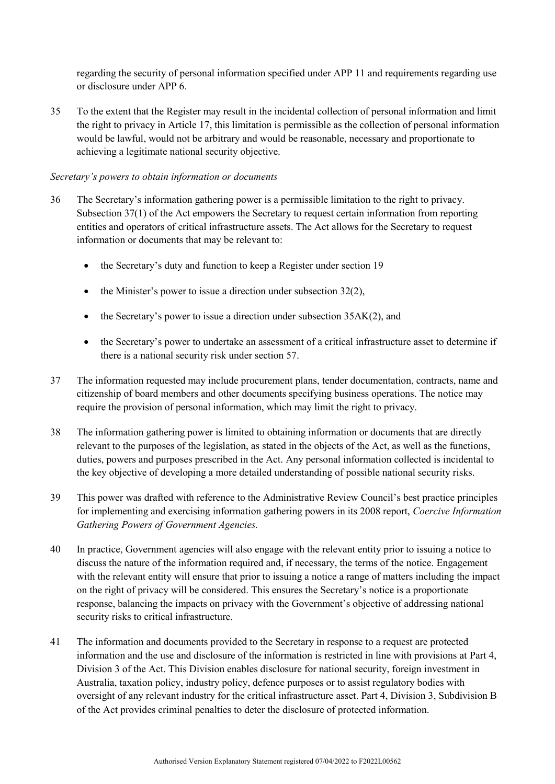regarding the security of personal information specified under APP 11 and requirements regarding use or disclosure under APP 6.

35 To the extent that the Register may result in the incidental collection of personal information and limit the right to privacy in Article 17, this limitation is permissible as the collection of personal information would be lawful, would not be arbitrary and would be reasonable, necessary and proportionate to achieving a legitimate national security objective.

#### *Secretary's powers to obtain information or documents*

- 36 The Secretary's information gathering power is a permissible limitation to the right to privacy. Subsection 37(1) of the Act empowers the Secretary to request certain information from reporting entities and operators of critical infrastructure assets. The Act allows for the Secretary to request information or documents that may be relevant to:
	- the Secretary's duty and function to keep a Register under section 19
	- $\bullet$  the Minister's power to issue a direction under subsection 32(2),
	- $\bullet$  the Secretary's power to issue a direction under subsection 35AK(2), and
	- the Secretary's power to undertake an assessment of a critical infrastructure asset to determine if there is a national security risk under section 57.
- 37 The information requested may include procurement plans, tender documentation, contracts, name and citizenship of board members and other documents specifying business operations. The notice may require the provision of personal information, which may limit the right to privacy.
- 38 The information gathering power is limited to obtaining information or documents that are directly relevant to the purposes of the legislation, as stated in the objects of the Act, as well as the functions, duties, powers and purposes prescribed in the Act. Any personal information collected is incidental to the key objective of developing a more detailed understanding of possible national security risks.
- 39 This power was drafted with reference to the Administrative Review Council's best practice principles for implementing and exercising information gathering powers in its 2008 report, *Coercive Information Gathering Powers of Government Agencies.*
- 40 In practice, Government agencies will also engage with the relevant entity prior to issuing a notice to discuss the nature of the information required and, if necessary, the terms of the notice. Engagement with the relevant entity will ensure that prior to issuing a notice a range of matters including the impact on the right of privacy will be considered. This ensures the Secretary's notice is a proportionate response, balancing the impacts on privacy with the Government's objective of addressing national security risks to critical infrastructure.
- 41 The information and documents provided to the Secretary in response to a request are protected information and the use and disclosure of the information is restricted in line with provisions at Part 4, Division 3 of the Act. This Division enables disclosure for national security, foreign investment in Australia, taxation policy, industry policy, defence purposes or to assist regulatory bodies with oversight of any relevant industry for the critical infrastructure asset. Part 4, Division 3, Subdivision B of the Act provides criminal penalties to deter the disclosure of protected information.